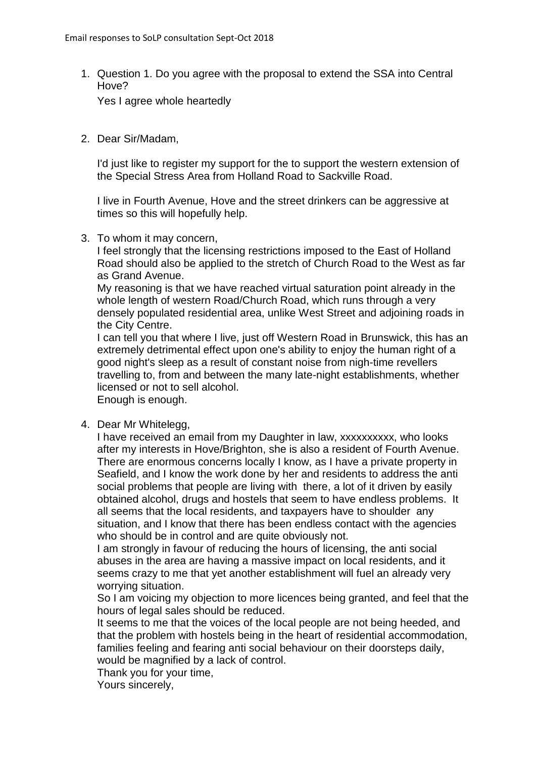1. Question 1. Do you agree with the proposal to extend the SSA into Central Hove?

Yes I agree whole heartedly

2. Dear Sir/Madam,

I'd just like to register my support for the to support the western extension of the Special Stress Area from Holland Road to Sackville Road.

I live in Fourth Avenue, Hove and the street drinkers can be aggressive at times so this will hopefully help.

3. To whom it may concern,

I feel strongly that the licensing restrictions imposed to the East of Holland Road should also be applied to the stretch of Church Road to the West as far as Grand Avenue.

My reasoning is that we have reached virtual saturation point already in the whole length of western Road/Church Road, which runs through a very densely populated residential area, unlike West Street and adjoining roads in the City Centre.

I can tell you that where I live, just off Western Road in Brunswick, this has an extremely detrimental effect upon one's ability to enjoy the human right of a good night's sleep as a result of constant noise from nigh-time revellers travelling to, from and between the many late-night establishments, whether licensed or not to sell alcohol.

Enough is enough.

4. Dear Mr Whitelegg,

I have received an email from my Daughter in law, xxxxxxxxxx, who looks after my interests in Hove/Brighton, she is also a resident of Fourth Avenue. There are enormous concerns locally I know, as I have a private property in Seafield, and I know the work done by her and residents to address the anti social problems that people are living with there, a lot of it driven by easily obtained alcohol, drugs and hostels that seem to have endless problems. It all seems that the local residents, and taxpayers have to shoulder any situation, and I know that there has been endless contact with the agencies who should be in control and are quite obviously not.

I am strongly in favour of reducing the hours of licensing, the anti social abuses in the area are having a massive impact on local residents, and it seems crazy to me that yet another establishment will fuel an already very worrying situation.

So I am voicing my objection to more licences being granted, and feel that the hours of legal sales should be reduced.

It seems to me that the voices of the local people are not being heeded, and that the problem with hostels being in the heart of residential accommodation, families feeling and fearing anti social behaviour on their doorsteps daily, would be magnified by a lack of control.

Thank you for your time,

Yours sincerely,